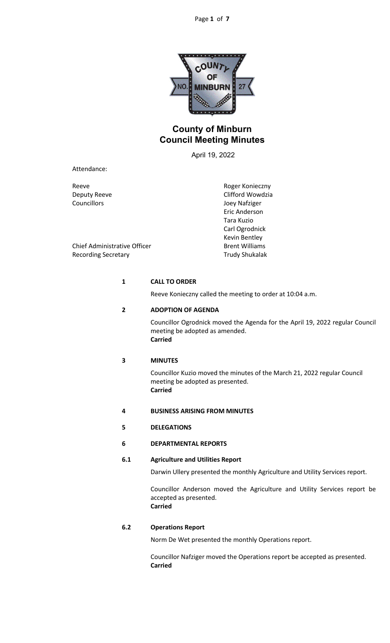

# **County of Minburn Council Meeting Minutes**

April 19, 2022

Attendance:

Reeve Reeve Roger Konieczny

Deputy Reeve Clifford Wowdzia Councillors Joey Nafziger Eric Anderson Tara Kuzio Carl Ogrodnick Kevin Bentley

Chief Administrative Officer **Brent Williams** Recording Secretary **Trudy Shukalak** 

# **1 CALL TO ORDER**

Reeve Konieczny called the meeting to order at 10:04 a.m.

# **2 ADOPTION OF AGENDA**

Councillor Ogrodnick moved the Agenda for the April 19, 2022 regular Council meeting be adopted as amended. **Carried**

## **3 MINUTES**

Councillor Kuzio moved the minutes of the March 21, 2022 regular Council meeting be adopted as presented. **Carried**

- **4 BUSINESS ARISING FROM MINUTES**
- **5 DELEGATIONS**
- **6 DEPARTMENTAL REPORTS**

# **6.1 Agriculture and Utilities Report**

Darwin Ullery presented the monthly Agriculture and Utility Services report.

Councillor Anderson moved the Agriculture and Utility Services report be accepted as presented. **Carried**

# **6.2 Operations Report**

Norm De Wet presented the monthly Operations report.

Councillor Nafziger moved the Operations report be accepted as presented. **Carried**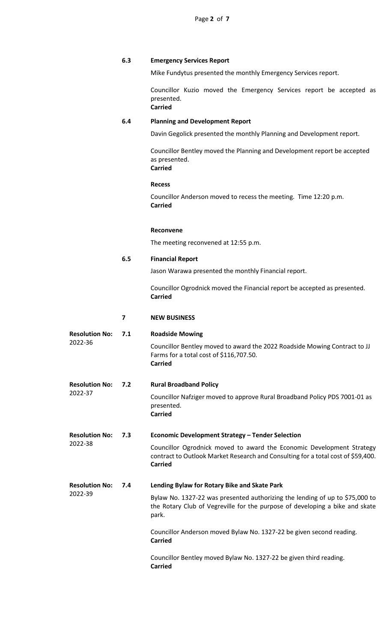# **6.3 Emergency Services Report**

Mike Fundytus presented the monthly Emergency Services report.

Councillor Kuzio moved the Emergency Services report be accepted as presented. **Carried**

## **6.4 Planning and Development Report**

Davin Gegolick presented the monthly Planning and Development report.

Councillor Bentley moved the Planning and Development report be accepted as presented. **Carried**

### **Recess**

Councillor Anderson moved to recess the meeting. Time 12:20 p.m. **Carried**

# **Reconvene**

The meeting reconvened at 12:55 p.m.

# **6.5 Financial Report**

Jason Warawa presented the monthly Financial report.

Councillor Ogrodnick moved the Financial report be accepted as presented. **Carried**

## **7 NEW BUSINESS**

| <b>Resolution No:</b><br>2022-36 | 7.1 | <b>Roadside Mowing</b><br>Councillor Bentley moved to award the 2022 Roadside Mowing Contract to JJ<br>Farms for a total cost of \$116,707.50.<br><b>Carried</b>                                                                                                                                                                                                                                        |
|----------------------------------|-----|---------------------------------------------------------------------------------------------------------------------------------------------------------------------------------------------------------------------------------------------------------------------------------------------------------------------------------------------------------------------------------------------------------|
| <b>Resolution No:</b><br>2022-37 | 7.2 | <b>Rural Broadband Policy</b><br>Councillor Nafziger moved to approve Rural Broadband Policy PDS 7001-01 as<br>presented.<br><b>Carried</b>                                                                                                                                                                                                                                                             |
| <b>Resolution No:</b><br>2022-38 | 7.3 | <b>Economic Development Strategy - Tender Selection</b><br>Councillor Ogrodnick moved to award the Economic Development Strategy<br>contract to Outlook Market Research and Consulting for a total cost of \$59,400.<br><b>Carried</b>                                                                                                                                                                  |
| <b>Resolution No:</b><br>2022-39 | 7.4 | Lending Bylaw for Rotary Bike and Skate Park<br>Bylaw No. 1327-22 was presented authorizing the lending of up to \$75,000 to<br>the Rotary Club of Vegreville for the purpose of developing a bike and skate<br>park.<br>Councillor Anderson moved Bylaw No. 1327-22 be given second reading.<br><b>Carried</b><br>Councillor Bentley moved Bylaw No. 1327-22 be given third reading.<br><b>Carried</b> |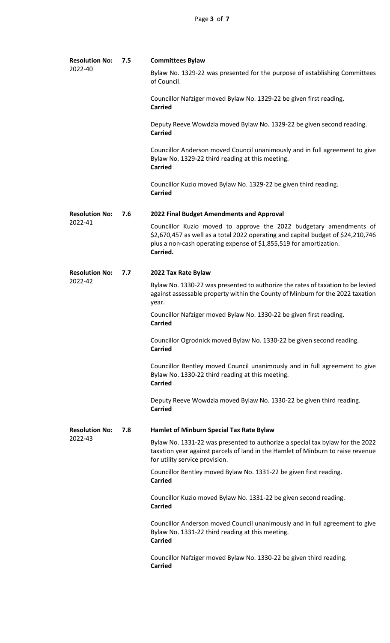| <b>Resolution No:</b><br>2022-40 | 7.5 | <b>Committees Bylaw</b>                                                                                                                                                                                                                  |
|----------------------------------|-----|------------------------------------------------------------------------------------------------------------------------------------------------------------------------------------------------------------------------------------------|
|                                  |     | Bylaw No. 1329-22 was presented for the purpose of establishing Committees<br>of Council.                                                                                                                                                |
|                                  |     | Councillor Nafziger moved Bylaw No. 1329-22 be given first reading.<br><b>Carried</b>                                                                                                                                                    |
|                                  |     | Deputy Reeve Wowdzia moved Bylaw No. 1329-22 be given second reading.<br><b>Carried</b>                                                                                                                                                  |
|                                  |     | Councillor Anderson moved Council unanimously and in full agreement to give<br>Bylaw No. 1329-22 third reading at this meeting.<br><b>Carried</b>                                                                                        |
|                                  |     | Councillor Kuzio moved Bylaw No. 1329-22 be given third reading.<br><b>Carried</b>                                                                                                                                                       |
| <b>Resolution No:</b><br>2022-41 | 7.6 | 2022 Final Budget Amendments and Approval                                                                                                                                                                                                |
|                                  |     | Councillor Kuzio moved to approve the 2022 budgetary amendments of<br>\$2,670,457 as well as a total 2022 operating and capital budget of \$24,210,746<br>plus a non-cash operating expense of \$1,855,519 for amortization.<br>Carried. |
| <b>Resolution No:</b><br>2022-42 | 7.7 | 2022 Tax Rate Bylaw                                                                                                                                                                                                                      |
|                                  |     | Bylaw No. 1330-22 was presented to authorize the rates of taxation to be levied<br>against assessable property within the County of Minburn for the 2022 taxation<br>year.                                                               |
|                                  |     | Councillor Nafziger moved Bylaw No. 1330-22 be given first reading.<br><b>Carried</b>                                                                                                                                                    |
|                                  |     | Councillor Ogrodnick moved Bylaw No. 1330-22 be given second reading.<br><b>Carried</b>                                                                                                                                                  |
|                                  |     | Councillor Bentley moved Council unanimously and in full agreement to give<br>Bylaw No. 1330-22 third reading at this meeting.<br><b>Carried</b>                                                                                         |
|                                  |     | Deputy Reeve Wowdzia moved Bylaw No. 1330-22 be given third reading.<br><b>Carried</b>                                                                                                                                                   |
| <b>Resolution No:</b><br>2022-43 | 7.8 | Hamlet of Minburn Special Tax Rate Bylaw                                                                                                                                                                                                 |
|                                  |     | Bylaw No. 1331-22 was presented to authorize a special tax bylaw for the 2022<br>taxation year against parcels of land in the Hamlet of Minburn to raise revenue<br>for utility service provision.                                       |
|                                  |     | Councillor Bentley moved Bylaw No. 1331-22 be given first reading.<br><b>Carried</b>                                                                                                                                                     |
|                                  |     | Councillor Kuzio moved Bylaw No. 1331-22 be given second reading.<br><b>Carried</b>                                                                                                                                                      |
|                                  |     | Councillor Anderson moved Council unanimously and in full agreement to give<br>Bylaw No. 1331-22 third reading at this meeting.<br><b>Carried</b>                                                                                        |
|                                  |     | Councillor Nafziger moved Bylaw No. 1330-22 be given third reading.<br><b>Carried</b>                                                                                                                                                    |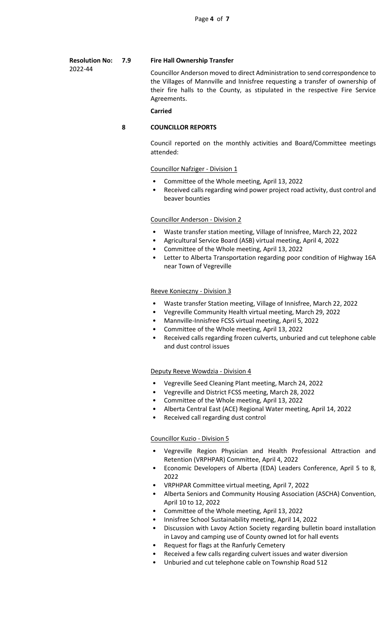#### **Resolution No: 7.9 Fire Hall Ownership Transfer**

2022-44

Councillor Anderson moved to direct Administration to send correspondence to the Villages of Mannville and Innisfree requesting a transfer of ownership of their fire halls to the County, as stipulated in the respective Fire Service Agreements.

### **Carried**

# **8 COUNCILLOR REPORTS**

Council reported on the monthly activities and Board/Committee meetings attended:

### Councillor Nafziger - Division 1

- Committee of the Whole meeting, April 13, 2022
- Received calls regarding wind power project road activity, dust control and beaver bounties

# Councillor Anderson - Division 2

- Waste transfer station meeting, Village of Innisfree, March 22, 2022
- Agricultural Service Board (ASB) virtual meeting, April 4, 2022
- Committee of the Whole meeting, April 13, 2022
- Letter to Alberta Transportation regarding poor condition of Highway 16A near Town of Vegreville

### Reeve Konieczny - Division 3

- Waste transfer Station meeting, Village of Innisfree, March 22, 2022
- Vegreville Community Health virtual meeting, March 29, 2022
- Mannville-Innisfree FCSS virtual meeting, April 5, 2022
- Committee of the Whole meeting, April 13, 2022
- Received calls regarding frozen culverts, unburied and cut telephone cable and dust control issues

### Deputy Reeve Wowdzia - Division 4

- Vegreville Seed Cleaning Plant meeting, March 24, 2022
- Vegreville and District FCSS meeting, March 28, 2022
- Committee of the Whole meeting, April 13, 2022
- Alberta Central East (ACE) Regional Water meeting, April 14, 2022
- Received call regarding dust control

### Councillor Kuzio - Division 5

- Vegreville Region Physician and Health Professional Attraction and Retention (VRPHPAR) Committee, April 4, 2022
- Economic Developers of Alberta (EDA) Leaders Conference, April 5 to 8, 2022
- VRPHPAR Committee virtual meeting, April 7, 2022
- Alberta Seniors and Community Housing Association (ASCHA) Convention, April 10 to 12, 2022
- Committee of the Whole meeting, April 13, 2022
- Innisfree School Sustainability meeting, April 14, 2022
- Discussion with Lavoy Action Society regarding bulletin board installation in Lavoy and camping use of County owned lot for hall events
- Request for flags at the Ranfurly Cemetery
- Received a few calls regarding culvert issues and water diversion
- Unburied and cut telephone cable on Township Road 512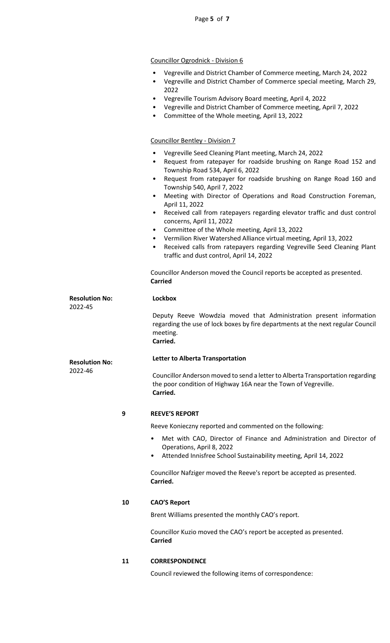# Councillor Ogrodnick - Division 6

- Vegreville and District Chamber of Commerce meeting, March 24, 2022
- Vegreville and District Chamber of Commerce special meeting, March 29, 2022
- Vegreville Tourism Advisory Board meeting, April 4, 2022
- Vegreville and District Chamber of Commerce meeting, April 7, 2022
- Committee of the Whole meeting, April 13, 2022

### Councillor Bentley - Division 7

- Vegreville Seed Cleaning Plant meeting, March 24, 2022
- Request from ratepayer for roadside brushing on Range Road 152 and Township Road 534, April 6, 2022
- Request from ratepayer for roadside brushing on Range Road 160 and Township 540, April 7, 2022
- Meeting with Director of Operations and Road Construction Foreman, April 11, 2022
- Received call from ratepayers regarding elevator traffic and dust control concerns, April 11, 2022
- Committee of the Whole meeting, April 13, 2022
- Vermilion River Watershed Alliance virtual meeting, April 13, 2022
- Received calls from ratepayers regarding Vegreville Seed Cleaning Plant traffic and dust control, April 14, 2022

Councillor Anderson moved the Council reports be accepted as presented. **Carried**

# **Resolution No:** 2022-45

# **Lockbox**

Deputy Reeve Wowdzia moved that Administration present information regarding the use of lock boxes by fire departments at the next regular Council meeting. **Carried.**

### **Letter to Alberta Transportation**

Councillor Anderson moved to send a letter to Alberta Transportation regarding the poor condition of Highway 16A near the Town of Vegreville. **Carried.**

### **9 REEVE'S REPORT**

Reeve Konieczny reported and commented on the following:

- Met with CAO, Director of Finance and Administration and Director of Operations, April 8, 2022
- Attended Innisfree School Sustainability meeting, April 14, 2022

Councillor Nafziger moved the Reeve's report be accepted as presented. **Carried.**

### **10 CAO'S Report**

Brent Williams presented the monthly CAO's report.

Councillor Kuzio moved the CAO's report be accepted as presented. **Carried**

### **11 CORRESPONDENCE**

Council reviewed the following items of correspondence:

**Resolution No:**

2022-46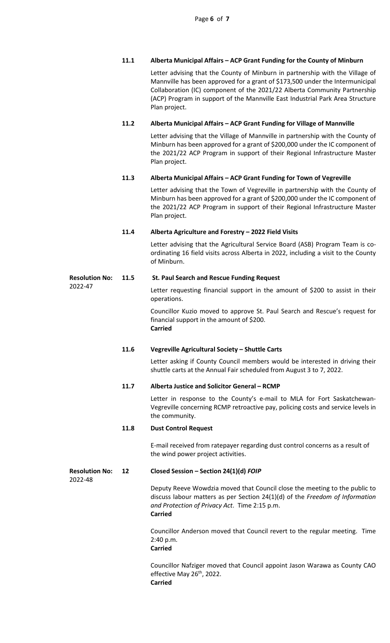# **11.1 Alberta Municipal Affairs – ACP Grant Funding for the County of Minburn**

Letter advising that the County of Minburn in partnership with the Village of Mannville has been approved for a grant of \$173,500 under the Intermunicipal Collaboration (IC) component of the 2021/22 Alberta Community Partnership (ACP) Program in support of the Mannville East Industrial Park Area Structure Plan project.

# **11.2 Alberta Municipal Affairs – ACP Grant Funding for Village of Mannville**

Letter advising that the Village of Mannville in partnership with the County of Minburn has been approved for a grant of \$200,000 under the IC component of the 2021/22 ACP Program in support of their Regional Infrastructure Master Plan project.

# **11.3 Alberta Municipal Affairs – ACP Grant Funding for Town of Vegreville**

Letter advising that the Town of Vegreville in partnership with the County of Minburn has been approved for a grant of \$200,000 under the IC component of the 2021/22 ACP Program in support of their Regional Infrastructure Master Plan project.

# **11.4 Alberta Agriculture and Forestry – 2022 Field Visits**

Letter advising that the Agricultural Service Board (ASB) Program Team is coordinating 16 field visits across Alberta in 2022, including a visit to the County of Minburn.

### **Resolution No: 11.5 St. Paul Search and Rescue Funding Request**

Letter requesting financial support in the amount of \$200 to assist in their operations.

Councillor Kuzio moved to approve St. Paul Search and Rescue's request for financial support in the amount of \$200. **Carried**

# **11.6 Vegreville Agricultural Society – Shuttle Carts**

Letter asking if County Council members would be interested in driving their shuttle carts at the Annual Fair scheduled from August 3 to 7, 2022.

### **11.7 Alberta Justice and Solicitor General – RCMP**

Letter in response to the County's e-mail to MLA for Fort Saskatchewan-Vegreville concerning RCMP retroactive pay, policing costs and service levels in the community.

### **11.8 Dust Control Request**

E-mail received from ratepayer regarding dust control concerns as a result of the wind power project activities.

### **Resolution No: 12 Closed Session – Section 24(1)(d)** *FOIP*

2022-48

2022-47

Deputy Reeve Wowdzia moved that Council close the meeting to the public to discuss labour matters as per Section 24(1)(d) of the *Freedom of Information and Protection of Privacy Act*. Time 2:15 p.m. **Carried**

Councillor Anderson moved that Council revert to the regular meeting. Time 2:40 p.m.

# **Carried**

Councillor Nafziger moved that Council appoint Jason Warawa as County CAO effective May 26<sup>th</sup>, 2022. **Carried**